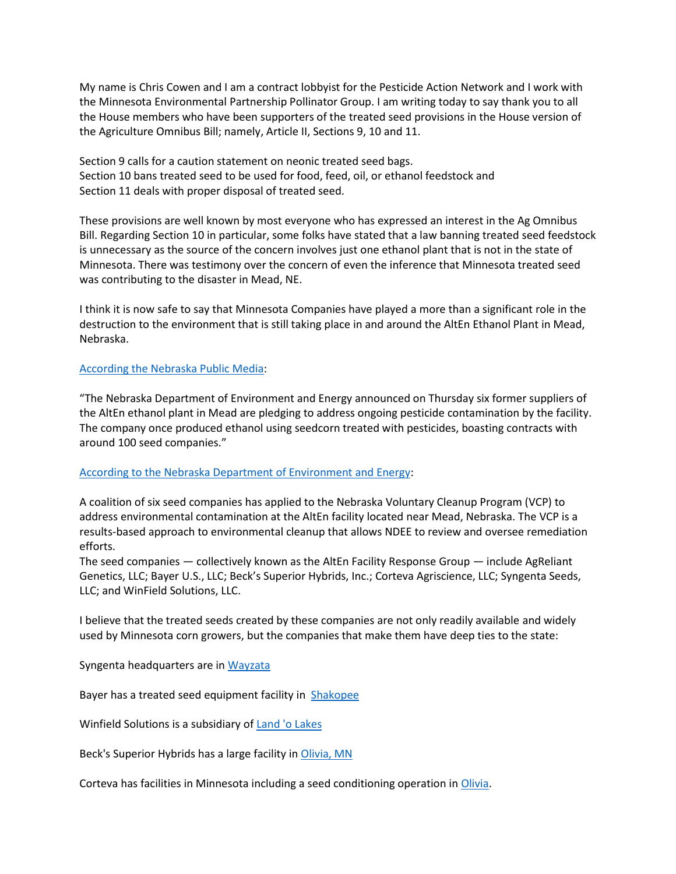My name is Chris Cowen and I am a contract lobbyist for the Pesticide Action Network and I work with the Minnesota Environmental Partnership Pollinator Group. I am writing today to say thank you to all the House members who have been supporters of the treated seed provisions in the House version of the Agriculture Omnibus Bill; namely, Article II, Sections 9, 10 and 11.

Section 9 calls for a caution statement on neonic treated seed bags. Section 10 bans treated seed to be used for food, feed, oil, or ethanol feedstock and Section 11 deals with proper disposal of treated seed.

These provisions are well known by most everyone who has expressed an interest in the Ag Omnibus Bill. Regarding Section 10 in particular, some folks have stated that a law banning treated seed feedstock is unnecessary as the source of the concern involves just one ethanol plant that is not in the state of Minnesota. There was testimony over the concern of even the inference that Minnesota treated seed was contributing to the disaster in Mead, NE.

I think it is now safe to say that Minnesota Companies have played a more than a significant role in the destruction to the environment that is still taking place in and around the AltEn Ethanol Plant in Mead, Nebraska.

## [According the Nebraska Public Media:](https://nebraskapublicmedia.org/en/news/news-articles/seed-companies-announce-working-group-for-alten-contamination/)

"The Nebraska Department of Environment and Energy announced on Thursday six former suppliers of the AltEn ethanol plant in Mead are pledging to address ongoing pesticide contamination by the facility. The company once produced ethanol using seedcorn treated with pesticides, boasting contracts with around 100 seed companies."

## [According to the Nebraska Department of Environment and Energy:](http://dee.ne.gov/Press.nsf/pages/AltEn)

A coalition of six seed companies has applied to the Nebraska Voluntary Cleanup Program (VCP) to address environmental contamination at the AltEn facility located near Mead, Nebraska. The VCP is a results-based approach to environmental cleanup that allows NDEE to review and oversee remediation efforts.

The seed companies — collectively known as the AltEn Facility Response Group — include AgReliant Genetics, LLC; Bayer U.S., LLC; Beck's Superior Hybrids, Inc.; Corteva Agriscience, LLC; Syngenta Seeds, LLC; and WinField Solutions, LLC.

I believe that the treated seeds created by these companies are not only readily available and widely used by Minnesota corn growers, but the companies that make them have deep ties to the state:

Syngenta headquarters are in [Wayzata](https://www.bloomberg.com/profile/company/0065136D:US)

Bayer has a treated seed equipment facility in [Shakopee](https://www.cropscience.bayer.us/who-we-are/locations/shakopee#phcontent_4_divAccordion)

Winfield Solutions is a subsidiary of [Land 'o Lakes](https://www.google.com/search?safe=active&rlz=1C1CHBF_enUS844US844&tbs=lf:1,lf_ui:4&tbm=lcl&q=winfield+solutions&rflfq=1&num=10&ved=2ahUKEwjx5oGpkJDxAhUKsJ4KHdeSAYAQtgN6BAg3EAQ)

Beck's Superior Hybrids has a large facility in [Olivia, MN](https://www.thelandonline.com/news/beck-s-hybrids-holds-open-house-of-its-olivia-facility/article_b91b127c-beca-11e9-b415-c71ad0d22efc.html)

Corteva has facilities in Minnesota including a seed conditioning operation i[n Olivia.](https://www.industrynet.com/listing/17958/corteva-agrosciences)